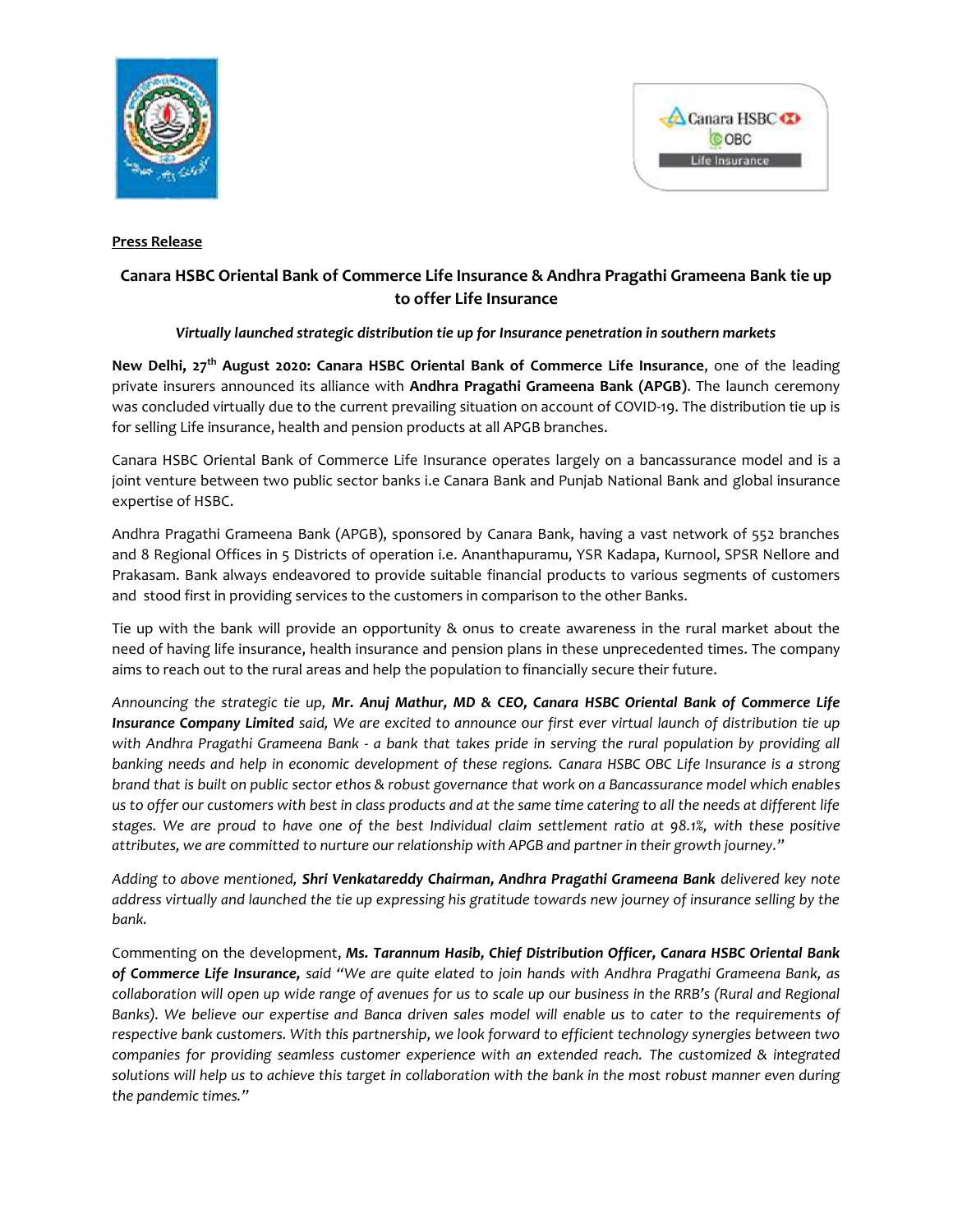



## **Press Release**

# **Canara HSBC Oriental Bank of Commerce Life Insurance & Andhra Pragathi Grameena Bank tie up to offer Life Insurance**

# *Virtually launched strategic distribution tie up for Insurance penetration in southern markets*

**New Delhi, 27th August 2020: Canara HSBC Oriental Bank of Commerce Life Insurance**, one of the leading private insurers announced its alliance with **Andhra Pragathi Grameena Bank (APGB)**. The launch ceremony was concluded virtually due to the current prevailing situation on account of COVID-19. The distribution tie up is for selling Life insurance, health and pension products at all APGB branches.

Canara HSBC Oriental Bank of Commerce Life Insurance operates largely on a bancassurance model and is a joint venture between two public sector banks i.e Canara Bank and Punjab National Bank and global insurance expertise of HSBC.

Andhra Pragathi Grameena Bank (APGB), sponsored by Canara Bank, having a vast network of 552 branches and 8 Regional Offices in 5 Districts of operation i.e. Ananthapuramu, YSR Kadapa, Kurnool, SPSR Nellore and Prakasam. Bank always endeavored to provide suitable financial products to various segments of customers and stood first in providing services to the customers in comparison to the other Banks.

Tie up with the bank will provide an opportunity & onus to create awareness in the rural market about the need of having life insurance, health insurance and pension plans in these unprecedented times. The company aims to reach out to the rural areas and help the population to financially secure their future.

*Announcing the strategic tie up, Mr. Anuj Mathur, MD & CEO, Canara HSBC Oriental Bank of Commerce Life Insurance Company Limited said, We are excited to announce our first ever virtual launch of distribution tie up with Andhra Pragathi Grameena Bank - a bank that takes pride in serving the rural population by providing all banking needs and help in economic development of these regions. Canara HSBC OBC Life Insurance is a strong brand that is built on public sector ethos & robust governance that work on a Bancassurance model which enables us to offer our customers with best in class products and at the same time catering to all the needs at different life stages. We are proud to have one of the best Individual claim settlement ratio at 98.1%, with these positive attributes, we are committed to nurture our relationship with APGB and partner in their growth journey."*

*Adding to above mentioned, Shri Venkatareddy Chairman, Andhra Pragathi Grameena Bank delivered key note address virtually and launched the tie up expressing his gratitude towards new journey of insurance selling by the bank.*

Commenting on the development, *Ms. Tarannum Hasib, Chief Distribution Officer, Canara HSBC Oriental Bank of Commerce Life Insurance, said "We are quite elated to join hands with Andhra Pragathi Grameena Bank, as collaboration will open up wide range of avenues for us to scale up our business in the RRB's (Rural and Regional Banks). We believe our expertise and Banca driven sales model will enable us to cater to the requirements of respective bank customers. With this partnership, we look forward to efficient technology synergies between two companies for providing seamless customer experience with an extended reach. The customized & integrated solutions will help us to achieve this target in collaboration with the bank in the most robust manner even during the pandemic times."*